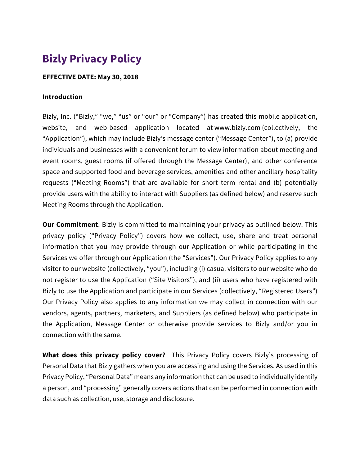# **Bizly Privacy Policy**

#### **EFFECTIVE DATE: May 30, 2018**

#### **Introduction**

Bizly, Inc. ("Bizly," "we," "us" or "our" or "Company") has created this mobile application, website, and web-based application located at www.bizly.com (collectively, the "Application"), which may include Bizly's message center ("Message Center"), to (a) provide individuals and businesses with a convenient forum to view information about meeting and event rooms, guest rooms (if offered through the Message Center), and other conference space and supported food and beverage services, amenities and other ancillary hospitality requests ("Meeting Rooms") that are available for short term rental and (b) potentially provide users with the ability to interact with Suppliers (as defined below) and reserve such Meeting Rooms through the Application.

**Our Commitment**. Bizly is committed to maintaining your privacy as outlined below. This privacy policy ("Privacy Policy") covers how we collect, use, share and treat personal information that you may provide through our Application or while participating in the Services we offer through our Application (the "Services"). Our Privacy Policy applies to any visitor to our website (collectively, "you"), including (i) casual visitors to our website who do not register to use the Application ("Site Visitors"), and (ii) users who have registered with Bizly to use the Application and participate in our Services (collectively, "Registered Users") Our Privacy Policy also applies to any information we may collect in connection with our vendors, agents, partners, marketers, and Suppliers (as defined below) who participate in the Application, Message Center or otherwise provide services to Bizly and/or you in connection with the same.

**What does this privacy policy cover?** This Privacy Policy covers Bizly's processing of Personal Data that Bizly gathers when you are accessing and using the Services. As used in this Privacy Policy, "Personal Data" means any information that can be used to individually identify a person, and "processing" generally covers actions that can be performed in connection with data such as collection, use, storage and disclosure.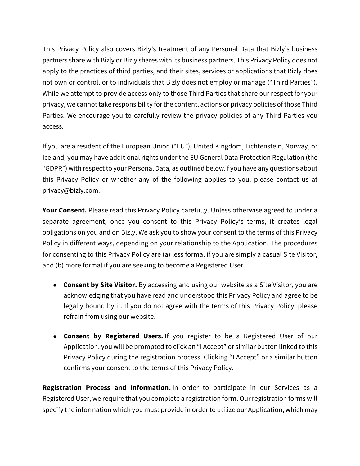This Privacy Policy also covers Bizly's treatment of any Personal Data that Bizly's business partners share with Bizly or Bizly shares with its business partners. This Privacy Policy does not apply to the practices of third parties, and their sites, services or applications that Bizly does not own or control, or to individuals that Bizly does not employ or manage ("Third Parties"). While we attempt to provide access only to those Third Parties that share our respect for your privacy, we cannot take responsibility forthe content, actions or privacy policies of those Third Parties. We encourage you to carefully review the privacy policies of any Third Parties you access.

If you are a resident of the European Union ("EU"), United Kingdom, Lichtenstein, Norway, or Iceland, you may have additional rights under the EU General Data Protection Regulation (the "GDPR") with respect to your Personal Data, as outlined below. f you have any questions about this Privacy Policy or whether any of the following applies to you, please contact us at privacy@bizly.com.

Your Consent. Please read this Privacy Policy carefully. Unless otherwise agreed to under a separate agreement, once you consent to this Privacy Policy's terms, it creates legal obligations on you and on Bizly. We ask you to show your consent to the terms of this Privacy Policy in different ways, depending on your relationship to the Application. The procedures for consenting to this Privacy Policy are (a) less formal if you are simply a casual Site Visitor, and (b) more formal if you are seeking to become a Registered User.

- **Consent by Site Visitor.** By accessing and using our website as a Site Visitor, you are acknowledging that you have read and understood this Privacy Policy and agree to be legally bound by it. If you do not agree with the terms of this Privacy Policy, please refrain from using our website.
- **Consent by Registered Users.** If you register to be a Registered User of our Application, you will be prompted to click an "I Accept" or similar button linked to this Privacy Policy during the registration process. Clicking "I Accept" or a similar button confirms your consent to the terms of this Privacy Policy.

**Registration Process and Information.** In order to participate in our Services as a Registered User, we require that you complete a registration form. Our registration forms will specify the information which you must provide in order to utilize our Application, which may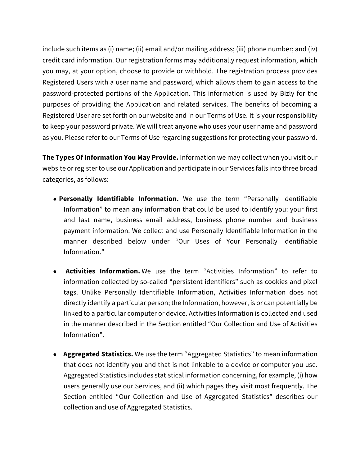include such items as (i) name; (ii) email and/or mailing address; (iii) phone number; and (iv) credit card information. Our registration forms may additionally request information, which you may, at your option, choose to provide or withhold. The registration process provides Registered Users with a user name and password, which allows them to gain access to the password-protected portions of the Application. This information is used by Bizly for the purposes of providing the Application and related services. The benefits of becoming a Registered User are set forth on our website and in our Terms of Use. It is your responsibility to keep your password private. We will treat anyone who uses your user name and password as you. Please refer to our Terms of Use regarding suggestions for protecting your password.

**The Types Of Information You May Provide.** Information we may collect when you visit our website or register to use our Application and participate in our Services falls into three broad categories, as follows:

- **Personally Identifiable Information.** We use the term "Personally Identifiable Information" to mean any information that could be used to identify you: your first and last name, business email address, business phone number and business payment information. We collect and use Personally Identifiable Information in the manner described below under "Our Uses of Your Personally Identifiable Information."
- **Activities Information.** We use the term "Activities Information" to refer to information collected by so-called "persistent identifiers" such as cookies and pixel tags. Unlike Personally Identifiable Information, Activities Information does not directly identify a particular person; the Information, however, is or can potentially be linked to a particular computer or device. Activities Information is collected and used in the manner described in the Section entitled "Our Collection and Use of Activities Information".
- **Aggregated Statistics.** We use the term "Aggregated Statistics" to mean information that does not identify you and that is not linkable to a device or computer you use. Aggregated Statistics includes statistical information concerning, for example, (i) how users generally use our Services, and (ii) which pages they visit most frequently. The Section entitled "Our Collection and Use of Aggregated Statistics" describes our collection and use of Aggregated Statistics.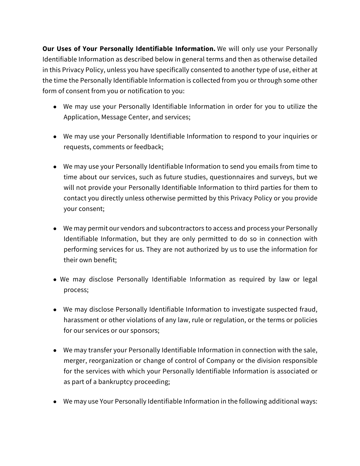**Our Uses of Your Personally Identifiable Information.** We will only use your Personally Identifiable Information as described below in general terms and then as otherwise detailed in this Privacy Policy, unless you have specifically consented to another type of use, either at the time the Personally Identifiable Information is collected from you or through some other form of consent from you or notification to you:

- We may use your Personally Identifiable Information in order for you to utilize the Application, Message Center, and services;
- We may use your Personally Identifiable Information to respond to your inquiries or requests, comments or feedback;
- We may use your Personally Identifiable Information to send you emails from time to time about our services, such as future studies, questionnaires and surveys, but we will not provide your Personally Identifiable Information to third parties for them to contact you directly unless otherwise permitted by this Privacy Policy or you provide your consent;
- We may permit our vendors and subcontractors to access and process your Personally Identifiable Information, but they are only permitted to do so in connection with performing services for us. They are not authorized by us to use the information for their own benefit;
- We may disclose Personally Identifiable Information as required by law or legal process;
- We may disclose Personally Identifiable Information to investigate suspected fraud, harassment or other violations of any law, rule or regulation, or the terms or policies for our services or our sponsors;
- We may transfer your Personally Identifiable Information in connection with the sale, merger, reorganization or change of control of Company or the division responsible for the services with which your Personally Identifiable Information is associated or as part of a bankruptcy proceeding;
- We may use Your Personally Identifiable Information in the following additional ways: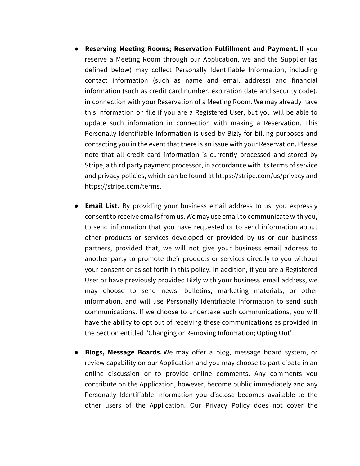- **Reserving Meeting Rooms; Reservation Fulfillment and Payment.** If you reserve a Meeting Room through our Application, we and the Supplier (as defined below) may collect Personally Identifiable Information, including contact information (such as name and email address) and financial information (such as credit card number, expiration date and security code), in connection with your Reservation of a Meeting Room. We may already have this information on file if you are a Registered User, but you will be able to update such information in connection with making a Reservation. This Personally Identifiable Information is used by Bizly for billing purposes and contacting you in the event that there is an issue with your Reservation. Please note that all credit card information is currently processed and stored by Stripe, a third party payment processor, in accordance with its terms of service and privacy policies, which can be found at https://stripe.com/us/privacy and https://stripe.com/terms.
- **Email List.** By providing your business email address to us, you expressly consent to receive emails from us. We may use email to communicate with you, to send information that you have requested or to send information about other products or services developed or provided by us or our business partners, provided that, we will not give your business email address to another party to promote their products or services directly to you without your consent or as set forth in this policy. In addition, if you are a Registered User or have previously provided Bizly with your business email address, we may choose to send news, bulletins, marketing materials, or other information, and will use Personally Identifiable Information to send such communications. If we choose to undertake such communications, you will have the ability to opt out of receiving these communications as provided in the Section entitled "Changing or Removing Information; Opting Out".
- **Blogs, Message Boards.** We may offer a blog, message board system, or review capability on our Application and you may choose to participate in an online discussion or to provide online comments. Any comments you contribute on the Application, however, become public immediately and any Personally Identifiable Information you disclose becomes available to the other users of the Application. Our Privacy Policy does not cover the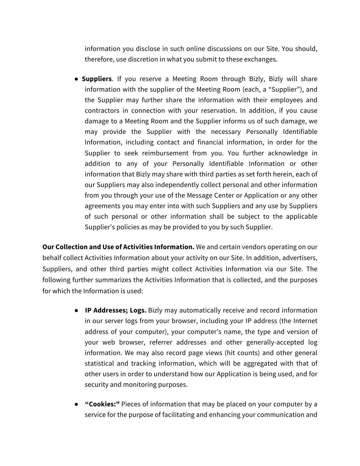information you disclose in such online discussions on our Site. You should, therefore, use discretion in what you submit to these exchanges.

● **Suppliers**. If you reserve a Meeting Room through Bizly, Bizly will share information with the supplier of the Meeting Room (each, a "Supplier"), and the Supplier may further share the information with their employees and contractors in connection with your reservation. In addition, if you cause damage to a Meeting Room and the Supplier informs us of such damage, we may provide the Supplier with the necessary Personally Identifiable Information, including contact and financial information, in order for the Supplier to seek reimbursement from you. You further acknowledge in addition to any of your Personally Identifiable Information or other information that Bizly may share with third parties as set forth herein, each of our Suppliers may also independently collect personal and other information from you through your use of the Message Center or Application or any other agreements you may enter into with such Suppliers and any use by Suppliers of such personal or other information shall be subject to the applicable Supplier's policies as may be provided to you by such Supplier.

**Our Collection and Use of Activities Information.** We and certain vendors operating on our behalf collect Activities Information about your activity on our Site. In addition, advertisers, Suppliers, and other third parties might collect Activities Information via our Site. The following further summarizes the Activities Information that is collected, and the purposes for which the Information is used:

- **IP Addresses; Logs.** Bizly may automatically receive and record information in our server logs from your browser, including your IP address (the Internet address of your computer), your computer's name, the type and version of your web browser, referrer addresses and other generally-accepted log information. We may also record page views (hit counts) and other general statistical and tracking information, which will be aggregated with that of other users in order to understand how our Application is being used, and for security and monitoring purposes.
- **"Cookies:"** Pieces of information that may be placed on your computer by a service for the purpose of facilitating and enhancing your communication and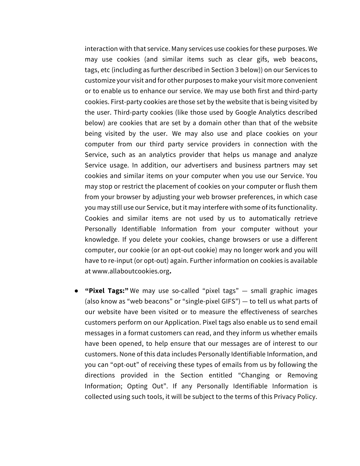interaction with that service. Many services use cookies for these purposes. We may use cookies (and similar items such as clear gifs, web beacons, tags, etc (including as further described in Section 3 below)) on our Services to customize your visit and for other purposes to make your visit more convenient or to enable us to enhance our service. We may use both first and third-party cookies. First-party cookies are those set by the website that is being visited by the user. Third-party cookies (like those used by Google Analytics described below) are cookies that are set by a domain other than that of the website being visited by the user. We may also use and place cookies on your computer from our third party service providers in connection with the Service, such as an analytics provider that helps us manage and analyze Service usage. In addition, our advertisers and business partners may set cookies and similar items on your computer when you use our Service. You may stop or restrict the placement of cookies on your computer or flush them from your browser by adjusting your web browser preferences, in which case you may still use our Service, but it may interfere with some of its functionality. Cookies and similar items are not used by us to automatically retrieve Personally Identifiable Information from your computer without your knowledge. If you delete your cookies, change browsers or use a different computer, our cookie (or an opt-out cookie) may no longer work and you will have to re-input (or opt-out) again. Further information on cookies is available at www.allaboutcookies.org**.**

● **"Pixel Tags:"** We may use so-called "pixel tags" — small graphic images (also know as "web beacons" or "single-pixel GIFS") — to tell us what parts of our website have been visited or to measure the effectiveness of searches customers perform on our Application. Pixel tags also enable us to send email messages in a format customers can read, and they inform us whether emails have been opened, to help ensure that our messages are of interest to our customers. None of this data includes Personally Identifiable Information, and you can "opt-out" of receiving these types of emails from us by following the directions provided in the Section entitled "Changing or Removing Information; Opting Out". If any Personally Identifiable Information is collected using such tools, it will be subject to the terms of this Privacy Policy.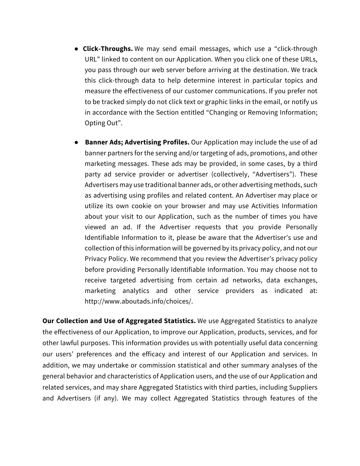- **Click-Throughs.** We may send email messages, which use a "click-through URL" linked to content on our Application. When you click one of these URLs, you pass through our web server before arriving at the destination. We track this click-through data to help determine interest in particular topics and measure the effectiveness of our customer communications. If you prefer not to be tracked simply do not click text or graphic links in the email, or notify us in accordance with the Section entitled "Changing or Removing Information; Opting Out".
- **Banner Ads; Advertising Profiles.** Our Application may include the use of ad banner partners for the serving and/or targeting of ads, promotions, and other marketing messages. These ads may be provided, in some cases, by a third party ad service provider or advertiser (collectively, "Advertisers"). These Advertisers may use traditional banner ads, or other advertising methods, such as advertising using profiles and related content. An Advertiser may place or utilize its own cookie on your browser and may use Activities Information about your visit to our Application, such as the number of times you have viewed an ad. If the Advertiser requests that you provide Personally Identifiable Information to it, please be aware that the Advertiser's use and collection of this information will be governed by its privacy policy, and not our Privacy Policy. We recommend that you review the Advertiser's privacy policy before providing Personally Identifiable Information. You may choose not to receive targeted advertising from certain ad networks, data exchanges, marketing analytics and other service providers as indicated at: http://www.aboutads.info/choices/.

**Our Collection and Use of Aggregated Statistics.** We use Aggregated Statistics to analyze the effectiveness of our Application, to improve our Application, products, services, and for other lawful purposes. This information provides us with potentially useful data concerning our users' preferences and the efficacy and interest of our Application and services. In addition, we may undertake or commission statistical and other summary analyses of the general behavior and characteristics of Application users, and the use of our Application and related services, and may share Aggregated Statistics with third parties, including Suppliers and Advertisers (if any). We may collect Aggregated Statistics through features of the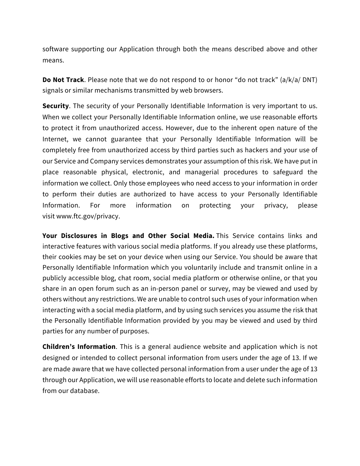software supporting our Application through both the means described above and other means.

**Do Not Track**. Please note that we do not respond to or honor "do not track" (a/k/a/ DNT) signals or similar mechanisms transmitted by web browsers.

**Security**. The security of your Personally Identifiable Information is very important to us. When we collect your Personally Identifiable Information online, we use reasonable efforts to protect it from unauthorized access. However, due to the inherent open nature of the Internet, we cannot guarantee that your Personally Identifiable Information will be completely free from unauthorized access by third parties such as hackers and your use of our Service and Company services demonstrates your assumption of this risk. We have put in place reasonable physical, electronic, and managerial procedures to safeguard the information we collect. Only those employees who need access to your information in order to perform their duties are authorized to have access to your Personally Identifiable Information. For more information on protecting your privacy, please visit www.ftc.gov/privacy.

**Your Disclosures in Blogs and Other Social Media.** This Service contains links and interactive features with various social media platforms. If you already use these platforms, their cookies may be set on your device when using our Service. You should be aware that Personally Identifiable Information which you voluntarily include and transmit online in a publicly accessible blog, chat room, social media platform or otherwise online, or that you share in an open forum such as an in-person panel or survey, may be viewed and used by others without any restrictions. We are unable to control such uses of your information when interacting with a social media platform, and by using such services you assume the risk that the Personally Identifiable Information provided by you may be viewed and used by third parties for any number of purposes.

**Children's Information**. This is a general audience website and application which is not designed or intended to collect personal information from users under the age of 13. If we are made aware that we have collected personal information from a user under the age of 13 through our Application, we will use reasonable efforts to locate and delete such information from our database.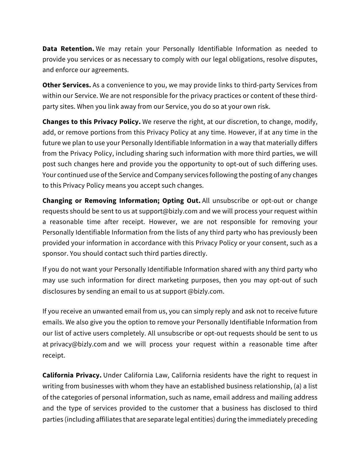**Data Retention.** We may retain your Personally Identifiable Information as needed to provide you services or as necessary to comply with our legal obligations, resolve disputes, and enforce our agreements.

**Other Services.** As a convenience to you, we may provide links to third-party Services from within our Service. We are not responsible for the privacy practices or content of these thirdparty sites. When you link away from our Service, you do so at your own risk.

**Changes to this Privacy Policy.** We reserve the right, at our discretion, to change, modify, add, or remove portions from this Privacy Policy at any time. However, if at any time in the future we plan to use your Personally Identifiable Information in a way that materially differs from the Privacy Policy, including sharing such information with more third parties, we will post such changes here and provide you the opportunity to opt-out of such differing uses. Your continued use of the Service and Company services following the posting of any changes to this Privacy Policy means you accept such changes.

**Changing or Removing Information; Opting Out.** All unsubscribe or opt-out or change requests should be sent to us at support@bizly.com and we will process your request within a reasonable time after receipt. However, we are not responsible for removing your Personally Identifiable Information from the lists of any third party who has previously been provided your information in accordance with this Privacy Policy or your consent, such as a sponsor. You should contact such third parties directly.

If you do not want your Personally Identifiable Information shared with any third party who may use such information for direct marketing purposes, then you may opt-out of such disclosures by sending an email to us at support @bizly.com.

If you receive an unwanted email from us, you can simply reply and ask not to receive future emails. We also give you the option to remove your Personally Identifiable Information from our list of active users completely. All unsubscribe or opt-out requests should be sent to us at privacy@bizly.com and we will process your request within a reasonable time after receipt.

**California Privacy.** Under California Law, California residents have the right to request in writing from businesses with whom they have an established business relationship, (a) a list of the categories of personal information, such as name, email address and mailing address and the type of services provided to the customer that a business has disclosed to third parties (including affiliates that are separate legal entities) during the immediately preceding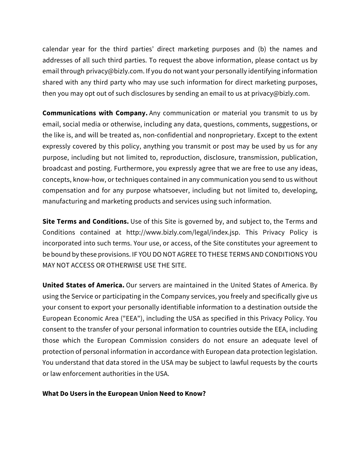calendar year for the third parties' direct marketing purposes and (b) the names and addresses of all such third parties. To request the above information, please contact us by email through privacy@bizly.com. If you do not want your personally identifying information shared with any third party who may use such information for direct marketing purposes, then you may opt out of such disclosures by sending an email to us at privacy@bizly.com.

**Communications with Company.** Any communication or material you transmit to us by email, social media or otherwise, including any data, questions, comments, suggestions, or the like is, and will be treated as, non-confidential and nonproprietary. Except to the extent expressly covered by this policy, anything you transmit or post may be used by us for any purpose, including but not limited to, reproduction, disclosure, transmission, publication, broadcast and posting. Furthermore, you expressly agree that we are free to use any ideas, concepts, know-how, or techniques contained in any communication you send to us without compensation and for any purpose whatsoever, including but not limited to, developing, manufacturing and marketing products and services using such information.

**Site Terms and Conditions.** Use of this Site is governed by, and subject to, the Terms and Conditions contained at http://www.bizly.com/legal/index.jsp. This Privacy Policy is incorporated into such terms. Your use, or access, of the Site constitutes your agreement to be bound by these provisions. IF YOU DO NOT AGREE TO THESE TERMS AND CONDITIONS YOU MAY NOT ACCESS OR OTHERWISE USE THE SITE.

**United States of America.** Our servers are maintained in the United States of America. By using the Service or participating in the Company services, you freely and specifically give us your consent to export your personally identifiable information to a destination outside the European Economic Area ("EEA"), including the USA as specified in this Privacy Policy. You consent to the transfer of your personal information to countries outside the EEA, including those which the European Commission considers do not ensure an adequate level of protection of personal information in accordance with European data protection legislation. You understand that data stored in the USA may be subject to lawful requests by the courts or law enforcement authorities in the USA.

#### **What Do Users in the European Union Need to Know?**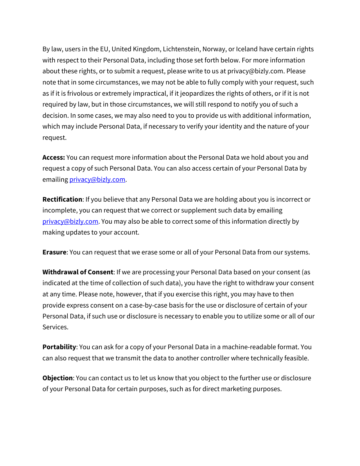By law, users in the EU, United Kingdom, Lichtenstein, Norway, or Iceland have certain rights with respect to their Personal Data, including those set forth below. For more information about these rights, or to submit a request, please write to us at privacy@bizly.com. Please note that in some circumstances, we may not be able to fully comply with your request, such as if it is frivolous or extremely impractical, if it jeopardizes the rights of others, or if it is not required by law, but in those circumstances, we will still respond to notify you of such a decision. In some cases, we may also need to you to provide us with additional information, which may include Personal Data, if necessary to verify your identity and the nature of your request.

**Access:** You can request more information about the Personal Data we hold about you and request a copy of such Personal Data. You can also access certain of your Personal Data by emailing privacy@bizly.com.

**Rectification**: If you believe that any Personal Data we are holding about you is incorrect or incomplete, you can request that we correct or supplement such data by emailing privacy@bizly.com. You may also be able to correct some of this information directly by making updates to your account.

**Erasure**: You can request that we erase some or all of your Personal Data from our systems.

**Withdrawal of Consent**: If we are processing your Personal Data based on your consent (as indicated at the time of collection of such data), you have the right to withdraw your consent at any time. Please note, however, that if you exercise this right, you may have to then provide express consent on a case-by-case basis for the use or disclosure of certain of your Personal Data, if such use or disclosure is necessary to enable you to utilize some or all of our Services.

**Portability**: You can ask for a copy of your Personal Data in a machine-readable format. You can also request that we transmit the data to another controller where technically feasible.

**Objection**: You can contact us to let us know that you object to the further use or disclosure of your Personal Data for certain purposes, such as for direct marketing purposes.